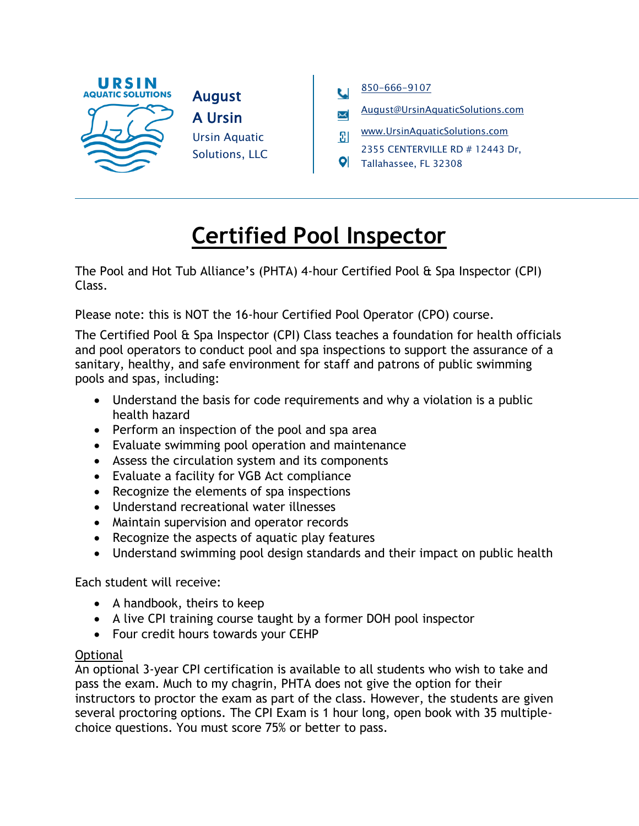



- [August@UrsinAquaticSolutions.com](mailto:August@UrsinAquaticSolutions.com)
- [www.UrsinAquaticSolutions.com](file://///www.UrsinAquaticSolutions.com)  $\overline{\bm{3}}$
- 2355 CENTERVILLE RD # 12443 Dr,
- Tallahassee, FL 32308

## **Certified Pool Inspector**

The Pool and Hot Tub Alliance's (PHTA) 4-hour Certified Pool & Spa Inspector (CPI) Class.

Please note: this is NOT the 16-hour Certified Pool Operator (CPO) course.

The Certified Pool & Spa Inspector (CPI) Class teaches a foundation for health officials and pool operators to conduct pool and spa inspections to support the assurance of a sanitary, healthy, and safe environment for staff and patrons of public swimming pools and spas, including:

- Understand the basis for code requirements and why a violation is a public health hazard
- Perform an inspection of the pool and spa area
- Evaluate swimming pool operation and maintenance
- Assess the circulation system and its components
- Evaluate a facility for VGB Act compliance
- Recognize the elements of spa inspections
- Understand recreational water illnesses
- Maintain supervision and operator records
- Recognize the aspects of aquatic play features
- Understand swimming pool design standards and their impact on public health

Each student will receive:

- A handbook, theirs to keep
- A live CPI training course taught by a former DOH pool inspector
- Four credit hours towards your CEHP

## **Optional**

An optional 3-year CPI certification is available to all students who wish to take and pass the exam. Much to my chagrin, PHTA does not give the option for their instructors to proctor the exam as part of the class. However, the students are given several proctoring options. The CPI Exam is 1 hour long, open book with 35 multiplechoice questions. You must score 75% or better to pass.